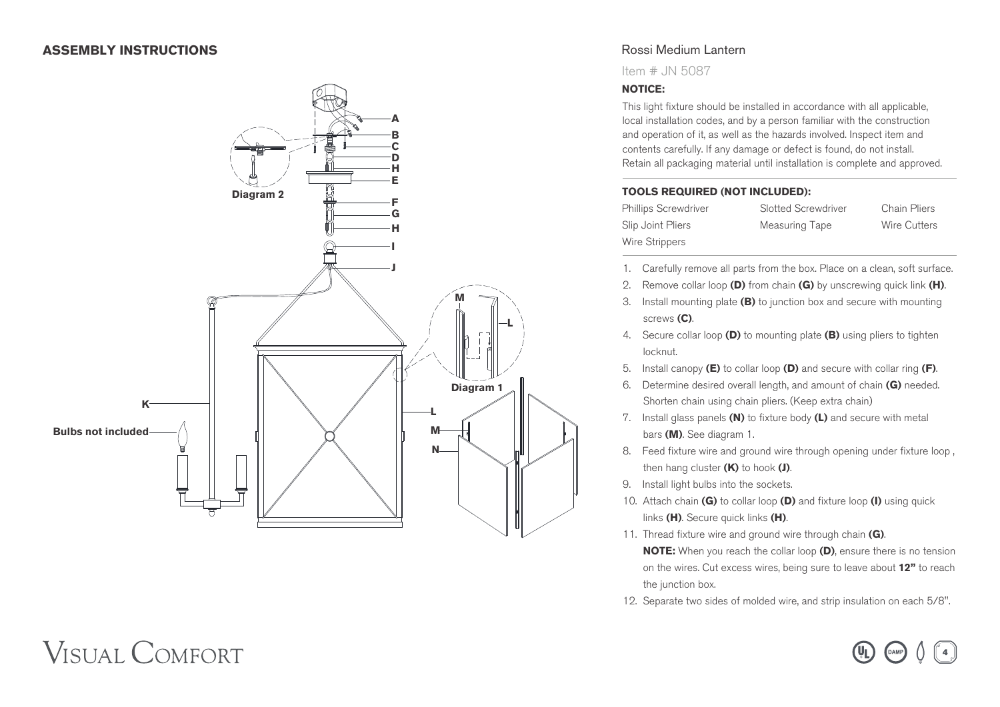### **ASSEMBLY INSTRUCTIONS**



# Rossi Medium Lantern

Item # JN 5087

#### **NOTICE:**

This light fixture should be installed in accordance with all applicable, local installation codes, and by a person familiar with the construction and operation of it, as well as the hazards involved. Inspect item and contents carefully. If any damage or defect is found, do not install. Retain all packaging material until installation is complete and approved.

#### **TOOLS REQUIRED (NOT INCLUDED):**

| Phillips Screwdriver |  |
|----------------------|--|
| Slip Joint Pliers    |  |
| Wire Strippers       |  |

**Slotted Screwdriver** Chain Pliers Measuring Tape Wire Cutters

- 1. Carefully remove all parts from the box. Place on a clean, soft surface.
- 2. Remove collar loop **(D)** from chain **(G)** by unscrewing quick link **(H)** .
- 3. Install mounting plate **(B)** to junction box and secure with mounting screws **(C)** .
- 4. Secure collar loop **(D)** to mounting plate **(B)** using pliers to tighten locknut.
- 5. Install canopy **(E)** to collar loop **(D)** and secure with collar ring **(F)** .
- 6. Determine desired overall length, and amount of chain **(G)** needed. Shorten chain using chain pliers. (Keep extra chain)
- 7. Install glass panels **(N)** to fixture body **(L)** and secure with metal bars **(M)**. See diagram 1.
- 8. Feed fixture wire and ground wire through opening under fixture loop , then hang cluster **(K)** to hook **(J)** .
- 9. Install light bulbs into the sockets.
- 10. Attach chain **(G)** to collar loop **(D)** and fixture loop **(I)** using quick links **(H)**. Secure quick links **(H)** .
- 11. Thread fixture wire and ground wire through chain **(G)** .  **NOTE:** When you reach the collar loop **(D)**, ensure there is no tension on the wires. Cut excess wires, being sure to leave about **12"** to reach the junction box.
- 12. Separate two sides of molded wire, and strip insulation on each 5/8".